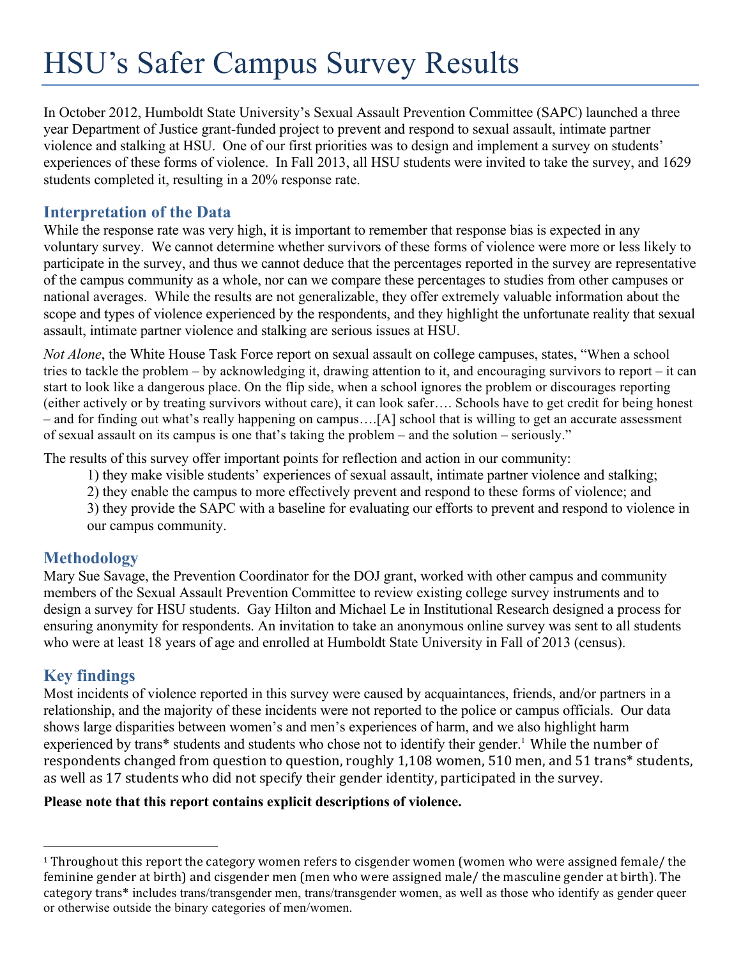# HSU's Safer Campus Survey Results

In October 2012, Humboldt State University's Sexual Assault Prevention Committee (SAPC) launched a three year Department of Justice grant-funded project to prevent and respond to sexual assault, intimate partner violence and stalking at HSU. One of our first priorities was to design and implement a survey on students' experiences of these forms of violence. In Fall 2013, all HSU students were invited to take the survey, and 1629 students completed it, resulting in a 20% response rate.

### **Interpretation of the Data**

While the response rate was very high, it is important to remember that response bias is expected in any voluntary survey. We cannot determine whether survivors of these forms of violence were more or less likely to participate in the survey, and thus we cannot deduce that the percentages reported in the survey are representative of the campus community as a whole, nor can we compare these percentages to studies from other campuses or national averages. While the results are not generalizable, they offer extremely valuable information about the scope and types of violence experienced by the respondents, and they highlight the unfortunate reality that sexual assault, intimate partner violence and stalking are serious issues at HSU.

*Not Alone*, the White House Task Force report on sexual assault on college campuses, states, "When a school tries to tackle the problem – by acknowledging it, drawing attention to it, and encouraging survivors to report – it can start to look like a dangerous place. On the flip side, when a school ignores the problem or discourages reporting (either actively or by treating survivors without care), it can look safer…. Schools have to get credit for being honest – and for finding out what's really happening on campus….[A] school that is willing to get an accurate assessment of sexual assault on its campus is one that's taking the problem – and the solution – seriously."

The results of this survey offer important points for reflection and action in our community:

1) they make visible students' experiences of sexual assault, intimate partner violence and stalking;

2) they enable the campus to more effectively prevent and respond to these forms of violence; and

3) they provide the SAPC with a baseline for evaluating our efforts to prevent and respond to violence in our campus community.

## **Methodology**

Mary Sue Savage, the Prevention Coordinator for the DOJ grant, worked with other campus and community members of the Sexual Assault Prevention Committee to review existing college survey instruments and to design a survey for HSU students. Gay Hilton and Michael Le in Institutional Research designed a process for ensuring anonymity for respondents. An invitation to take an anonymous online survey was sent to all students who were at least 18 years of age and enrolled at Humboldt State University in Fall of 2013 (census).

## **Key findings**

 

Most incidents of violence reported in this survey were caused by acquaintances, friends, and/or partners in a relationship, and the majority of these incidents were not reported to the police or campus officials. Our data shows large disparities between women's and men's experiences of harm, and we also highlight harm experienced by trans\* students and students who chose not to identify their gender.<sup>1</sup> While the number of respondents changed from question to question, roughly 1,108 women, 510 men, and 51 trans\* students, as well as 17 students who did not specify their gender identity, participated in the survey.

#### **Please note that this report contains explicit descriptions of violence.**

 $1$  Throughout this report the category women refers to cisgender women (women who were assigned female/ the feminine gender at birth) and cisgender men (men who were assigned male/ the masculine gender at birth). The category trans\* includes trans/transgender men, trans/transgender women, as well as those who identify as gender queer or otherwise outside the binary categories of men/women.